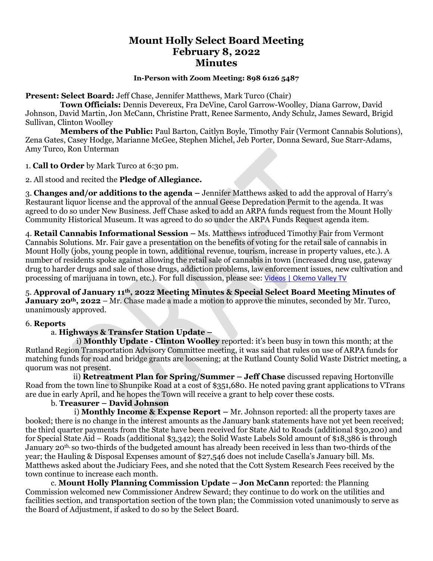# **Mount Holly Select Board Meeting February 8, 2022 Minutes**

#### **In-Person with Zoom Meeting: 898 6126 5487**

**Present: Select Board:** Jeff Chase, Jennifer Matthews, Mark Turco (Chair)

 **Town Officials:** Dennis Devereux, Fra DeVine, Carol Garrow-Woolley, Diana Garrow, David Johnson, David Martin, Jon McCann, Christine Pratt, Renee Sarmento, Andy Schulz, James Seward, Brigid Sullivan, Clinton Woolley

 **Members of the Public:** Paul Barton, Caitlyn Boyle, Timothy Fair (Vermont Cannabis Solutions), Zena Gates, Casey Hodge, Marianne McGee, Stephen Michel, Jeb Porter, Donna Seward, Sue Starr-Adams, Amy Turco, Ron Unterman

1. **Call to Order** by Mark Turco at 6:30 pm.

2. All stood and recited the **Pledge of Allegiance.**

3. **Changes and/or additions to the agenda –** Jennifer Matthews asked to add the approval of Harry's Restaurant liquor license and the approval of the annual Geese Depredation Permit to the agenda. It was agreed to do so under New Business. Jeff Chase asked to add an ARPA funds request from the Mount Holly Community Historical Museum. It was agreed to do so under the ARPA Funds Request agenda item.

4. **Retail Cannabis Informational Session –** Ms. Matthews introduced Timothy Fair from Vermont Cannabis Solutions. Mr. Fair gave a presentation on the benefits of voting for the retail sale of cannabis in Mount Holly (jobs, young people in town, additional revenue, tourism, increase in property values, etc.). A number of residents spoke against allowing the retail sale of cannabis in town (increased drug use, gateway drug to harder drugs and sale of those drugs, addiction problems, law enforcement issues, new cultivation and processing of marijuana in town, etc.). For full discussion, please see: [Videos | Okemo Valley TV](https://okemovalley.tv/videos)

5. **Approval of January 11th, 2022 Meeting Minutes & Special Select Board Meeting Minutes of January 20th, 2022** – Mr. Chase made a made a motion to approve the minutes, seconded by Mr. Turco, unanimously approved.

#### 6. **Reports**

### a. **Highways & Transfer Station Update –**

i) **Monthly Update - Clinton Woolley** reported: it's been busy in town this month; at the Rutland Region Transportation Advisory Committee meeting, it was said that rules on use of ARPA funds for matching funds for road and bridge grants are loosening; at the Rutland County Solid Waste District meeting, a quorum was not present.

 ii) **Retreatment Plan for Spring/Summer – Jeff Chase** discussed repaving Hortonville Road from the town line to Shunpike Road at a cost of \$351,680. He noted paving grant applications to VTrans are due in early April, and he hopes the Town will receive a grant to help cover these costs.

### b. **Treasurer – David Johnson**

 i) **Monthly Income & Expense Report –** Mr. Johnson reported: all the property taxes are booked; there is no change in the interest amounts as the January bank statements have not yet been received; the third quarter payments from the State have been received for State Aid to Roads (additional \$30,200) and for Special State Aid – Roads (additional \$3,342); the Solid Waste Labels Sold amount of \$18,386 is through January 20th, so two-thirds of the budgeted amount has already been received in less than two-thirds of the year; the Hauling & Disposal Expenses amount of \$27,546 does not include Casella's January bill. Ms. Matthews asked about the Judiciary Fees, and she noted that the Cott System Research Fees received by the town continue to increase each month.

c. **Mount Holly Planning Commission Update – Jon McCann** reported: the Planning Commission welcomed new Commissioner Andrew Seward; they continue to do work on the utilities and facilities section, and transportation section of the town plan; the Commission voted unanimously to serve as the Board of Adjustment, if asked to do so by the Select Board.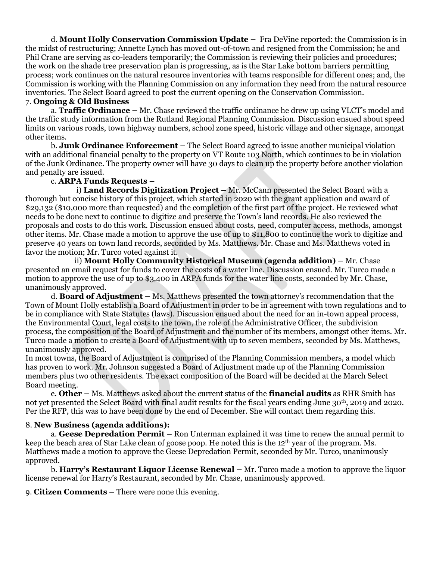d. **Mount Holly Conservation Commission Update –** Fra DeVine reported: the Commission is in the midst of restructuring; Annette Lynch has moved out-of-town and resigned from the Commission; he and Phil Crane are serving as co-leaders temporarily; the Commission is reviewing their policies and procedures; the work on the shade tree preservation plan is progressing, as is the Star Lake bottom barriers permitting process; work continues on the natural resource inventories with teams responsible for different ones; and, the Commission is working with the Planning Commission on any information they need from the natural resource inventories. The Select Board agreed to post the current opening on the Conservation Commission.

## 7. **Ongoing & Old Business**

a. **Traffic Ordinance –** Mr. Chase reviewed the traffic ordinance he drew up using VLCT's model and the traffic study information from the Rutland Regional Planning Commission. Discussion ensued about speed limits on various roads, town highway numbers, school zone speed, historic village and other signage, amongst other items.

b. **Junk Ordinance Enforcement –** The Select Board agreed to issue another municipal violation with an additional financial penalty to the property on VT Route 103 North, which continues to be in violation of the Junk Ordinance. The property owner will have 30 days to clean up the property before another violation and penalty are issued.

### c. **ARPA Funds Requests –**

i) **Land Records Digitization Project –** Mr. McCann presented the Select Board with a thorough but concise history of this project, which started in 2020 with the grant application and award of \$29,132 (\$10,000 more than requested) and the completion of the first part of the project. He reviewed what needs to be done next to continue to digitize and preserve the Town's land records. He also reviewed the proposals and costs to do this work. Discussion ensued about costs, need, computer access, methods, amongst other items. Mr. Chase made a motion to approve the use of up to \$11,800 to continue the work to digitize and preserve 40 years on town land records, seconded by Ms. Matthews. Mr. Chase and Ms. Matthews voted in favor the motion; Mr. Turco voted against it.

ii) **Mount Holly Community Historical Museum (agenda addition) –** Mr. Chase presented an email request for funds to cover the costs of a water line. Discussion ensued. Mr. Turco made a motion to approve the use of up to \$3,400 in ARPA funds for the water line costs, seconded by Mr. Chase, unanimously approved.

d. **Board of Adjustment –** Ms. Matthews presented the town attorney's recommendation that the Town of Mount Holly establish a Board of Adjustment in order to be in agreement with town regulations and to be in compliance with State Statutes (laws). Discussion ensued about the need for an in-town appeal process, the Environmental Court, legal costs to the town, the role of the Administrative Officer, the subdivision process, the composition of the Board of Adjustment and the number of its members, amongst other items. Mr. Turco made a motion to create a Board of Adjustment with up to seven members, seconded by Ms. Matthews, unanimously approved.

In most towns, the Board of Adjustment is comprised of the Planning Commission members, a model which has proven to work. Mr. Johnson suggested a Board of Adjustment made up of the Planning Commission members plus two other residents. The exact composition of the Board will be decided at the March Select Board meeting.

e. **Other –** Ms. Matthews asked about the current status of the **financial audits** as RHR Smith has not yet presented the Select Board with final audit results for the fiscal years ending June 30th, 2019 and 2020. Per the RFP, this was to have been done by the end of December. She will contact them regarding this.

### 8. **New Business (agenda additions):**

a. **Geese Depredation Permit –** Ron Unterman explained it was time to renew the annual permit to keep the beach area of Star Lake clean of goose poop. He noted this is the 12th year of the program. Ms. Matthews made a motion to approve the Geese Depredation Permit, seconded by Mr. Turco, unanimously approved.

b. **Harry's Restaurant Liquor License Renewal –** Mr. Turco made a motion to approve the liquor license renewal for Harry's Restaurant, seconded by Mr. Chase, unanimously approved.

9. **Citizen Comments –** There were none this evening.